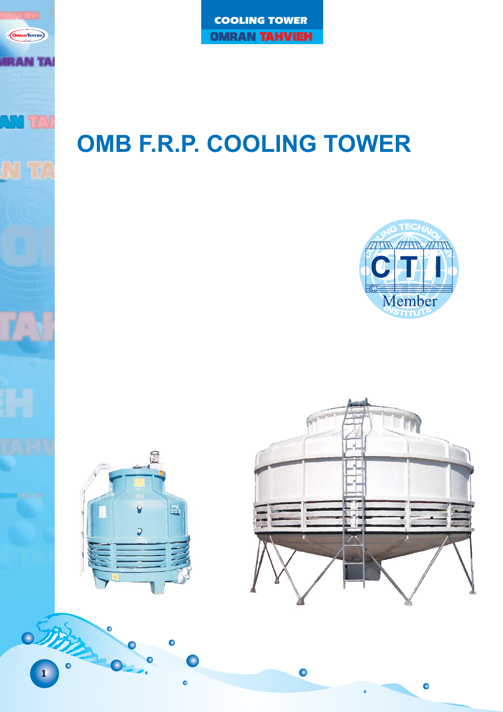# **OMB F.R.P. COOLING TOWER**



 $\bullet$ 





**OMRANTAHVIEH** 

**AN TA** 

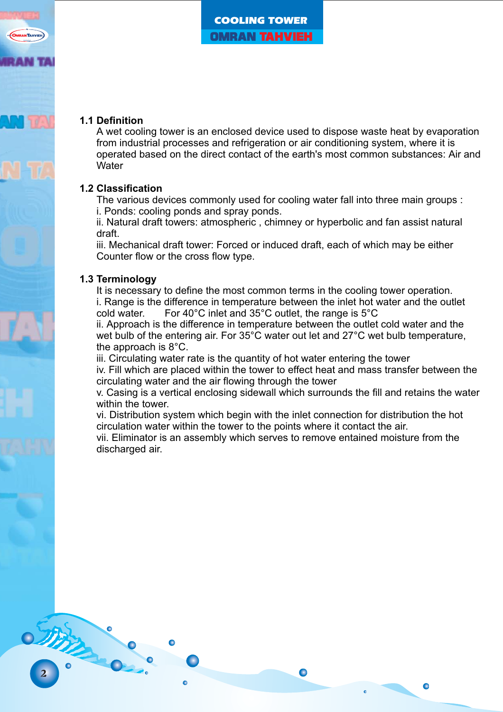

#### **1.1 Definition**

A wet cooling tower is an enclosed device used to dispose waste heat by evaporation from industrial processes and refrigeration or air conditioning system, where it is operated based on the direct contact of the earth's most common substances: Air and **Water** 

# **1.2 Classification**

The various devices commonly used for cooling water fall into three main groups : i. Ponds: cooling ponds and spray ponds.

ii. Natural draft towers: atmospheric , chimney or hyperbolic and fan assist natural draft.

iii. Mechanical draft tower: Forced or induced draft, each of which may be either Counter flow or the cross flow type.

#### **1.3 Terminology**

2

**OTHER** 

It is necessary to define the most common terms in the cooling tower operation. i. Range is the difference in temperature between the inlet hot water and the outlet cold water. For 40°C inlet and 35°C outlet, the range is 5°C

ii. Approach is the difference in temperature between the outlet cold water and the wet bulb of the entering air. For 35°C water out let and 27°C wet bulb temperature, the approach is 8°C.

iii. Circulating water rate is the quantity of hot water entering the tower

iv. Fill which are placed within the tower to effect heat and mass transfer between the circulating water and the air flowing through the tower

v. Casing is a vertical enclosing sidewall which surrounds the fill and retains the water within the tower

 $\bullet$ 

vi. Distribution system which begin with the inlet connection for distribution the hot circulation water within the tower to the points where it contact the air.

vii. Eliminator is an assembly which serves to remove entained moisture from the discharged air.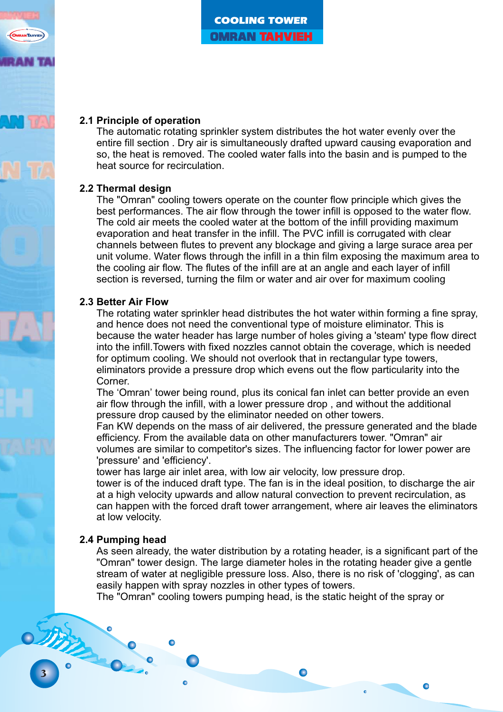#### **2.1 Principle of operation**

The automatic rotating sprinkler system distributes the hot water evenly over the entire fill section . Dry air is simultaneously drafted upward causing evaporation and so, the heat is removed. The cooled water falls into the basin and is pumped to the heat source for recirculation.

#### **2.2 Thermal design**

The "Omran" cooling towers operate on the counter flow principle which gives the best performances. The air flow through the tower infill is opposed to the water flow. The cold air meets the cooled water at the bottom of the infill providing maximum evaporation and heat transfer in the infill. The PVC infill is corrugated with clear channels between flutes to prevent any blockage and giving a large surace area per unit volume. Water flows through the infill in a thin film exposing the maximum area to the cooling air flow. The flutes of the infill are at an angle and each layer of infill section is reversed, turning the film or water and air over for maximum cooling

#### **2.3 Better Air Flow**

The rotating water sprinkler head distributes the hot water within forming a fine spray, and hence does not need the conventional type of moisture eliminator. This is because the water header has large number of holes giving a 'steam' type flow direct into the infill.Towers with fixed nozzles cannot obtain the coverage, which is needed for optimum cooling. We should not overlook that in rectangular type towers, eliminators provide a pressure drop which evens out the flow particularity into the Corner.

The 'Omran' tower being round, plus its conical fan inlet can better provide an even air flow through the infill, with a lower pressure drop , and without the additional pressure drop caused by the eliminator needed on other towers.

Fan KW depends on the mass of air delivered, the pressure generated and the blade efficiency. From the available data on other manufacturers tower. "Omran" air volumes are similar to competitor's sizes. The influencing factor for lower power are 'pressure' and 'efficiency'.

tower has large air inlet area, with low air velocity, low pressure drop.

tower is of the induced draft type. The fan is in the ideal position, to discharge the air at a high velocity upwards and allow natural convection to prevent recirculation, as can happen with the forced draft tower arrangement, where air leaves the eliminators at low velocity.

#### **2.4 Pumping head**

As seen already, the water distribution by a rotating header, is a significant part of the "Omran" tower design. The large diameter holes in the rotating header give a gentle stream of water at negligible pressure loss. Also, there is no risk of 'clogging', as can easily happen with spray nozzles in other types of towers.

 $\bullet$ 

The "Omran" cooling towers pumping head, is the static height of the spray or

OTHER.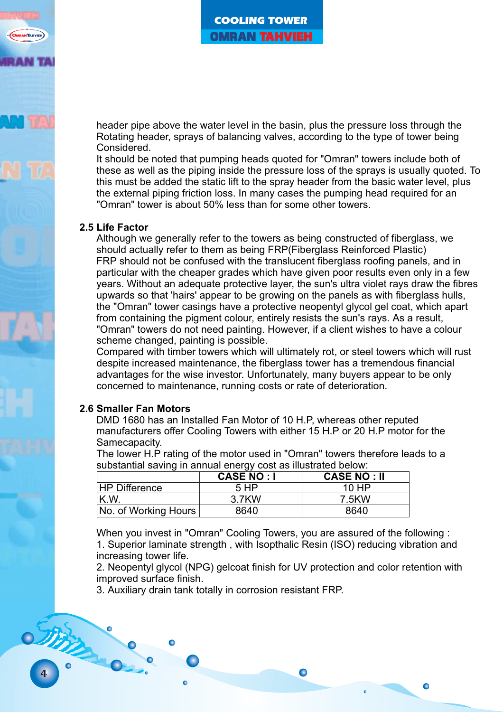header pipe above the water level in the basin, plus the pressure loss through the Rotating header, sprays of balancing valves, according to the type of tower being Considered.

It should be noted that pumping heads quoted for "Omran" towers include both of these as well as the piping inside the pressure loss of the sprays is usually quoted. To this must be added the static lift to the spray header from the basic water level, plus the external piping friction loss. In many cases the pumping head required for an "Omran" tower is about 50% less than for some other towers.

#### **2.5 Life Factor**

Although we generally refer to the towers as being constructed of fiberglass, we should actually refer to them as being FRP(Fiberglass Reinforced Plastic) FRP should not be confused with the translucent fiberglass roofing panels, and in particular with the cheaper grades which have given poor results even only in a few years. Without an adequate protective layer, the sun's ultra violet rays draw the fibres upwards so that 'hairs' appear to be growing on the panels as with fiberglass hulls, the "Omran" tower casings have a protective neopentyl glycol gel coat, which apart from containing the pigment colour, entirely resists the sun's rays. As a result, "Omran" towers do not need painting. However, if a client wishes to have a colour scheme changed, painting is possible.

Compared with timber towers which will ultimately rot, or steel towers which will rust despite increased maintenance, the fiberglass tower has a tremendous financial advantages for the wise investor. Unfortunately, many buyers appear to be only concerned to maintenance, running costs or rate of deterioration.

#### **2.6 Smaller Fan Motors**

DMD 1680 has an Installed Fan Motor of 10 H.P, whereas other reputed manufacturers offer Cooling Towers with either 15 H.P or 20 H.P motor for the Samecapacity.

The lower H.P rating of the motor used in "Omran" towers therefore leads to a substantial saving in annual energy cost as illustrated below:

|                                    | <b>CASE NO: I</b> | <b>CASE NO: II</b> |
|------------------------------------|-------------------|--------------------|
| <b>HP Difference</b>               | 5 H <sub>P</sub>  | 10 HP              |
| K.W.                               | 3.7KW             | 7.5KW              |
| (No. of Working Hours <sup>)</sup> | 8640              | 8640               |

When you invest in "Omran" Cooling Towers, you are assured of the following : 1. Superior laminate strength , with Isopthalic Resin (ISO) reducing vibration and increasing tower life.

2. Neopentyl glycol (NPG) gelcoat finish for UV protection and color retention with improved surface finish.

 $\bullet$ 

3. Auxiliary drain tank totally in corrosion resistant FRP.

other .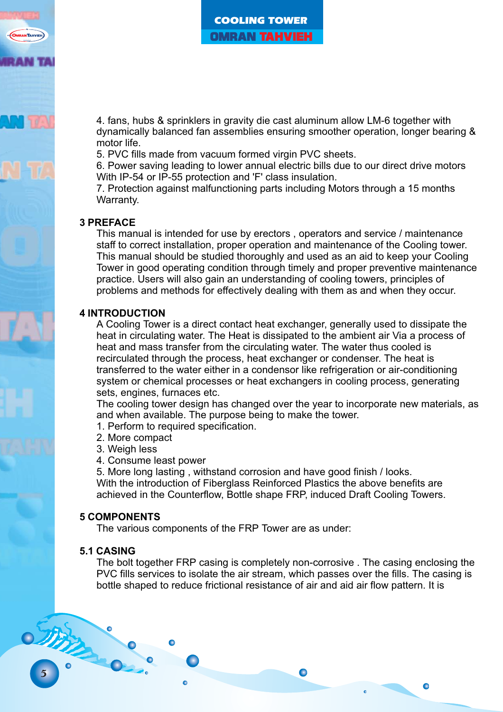4. fans, hubs & sprinklers in gravity die cast aluminum allow LM-6 together with dynamically balanced fan assemblies ensuring smoother operation, longer bearing & motor life.

5. PVC fills made from vacuum formed virgin PVC sheets.

6. Power saving leading to lower annual electric bills due to our direct drive motors With IP-54 or IP-55 protection and 'F' class insulation.

7. Protection against malfunctioning parts including Motors through a 15 months Warranty.

# **3 PREFACE**

staff to correct installation, proper operation and maintenance of the Cooling tower. This manual should be studied thoroughly and used as an aid to keep your Cooling Tower in good operating condition through timely and proper preventive maintenance practice. Users will also gain an understanding of cooling towers, principles of problems and methods for effectively dealing with them as and when they occur. This manual is intended for use by erectors , operators and service / maintenance

#### **4 INTRODUCTION**

heat in circulating water. The Heat is dissipated to the ambient air Via a process of heat and mass transfer from the circulating water. The water thus cooled is recirculated through the process, heat exchanger or condenser. The heat is transferred to the water either in a condensor like refrigeration or air-conditioning system or chemical processes or heat exchangers in cooling process, generating sets, engines, furnaces etc. A Cooling Tower is a direct contact heat exchanger, generally used to dissipate the

The cooling tower design has changed over the year to incorporate new materials, as and when available. The purpose being to make the tower.

- 1. Perform to required specification.
- 2. More compact
- 3. Weigh less
- 4. Consume least power

5. More long lasting , withstand corrosion and have good finish / looks. With the introduction of Fiberglass Reinforced Plastics the above benefits are achieved in the Counterflow, Bottle shape FRP, induced Draft Cooling Towers.

#### **5 COMPONENTS**

The various components of the FRP Tower are as under:

#### **5.1 CASING**

5

OTHER

PVC fills services to isolate the air stream, which passes over the fills. The casing is bottle shaped to reduce frictional resistance of air and aid air flow pattern. It is The bolt together FRP casing is completely non-corrosive . The casing enclosing the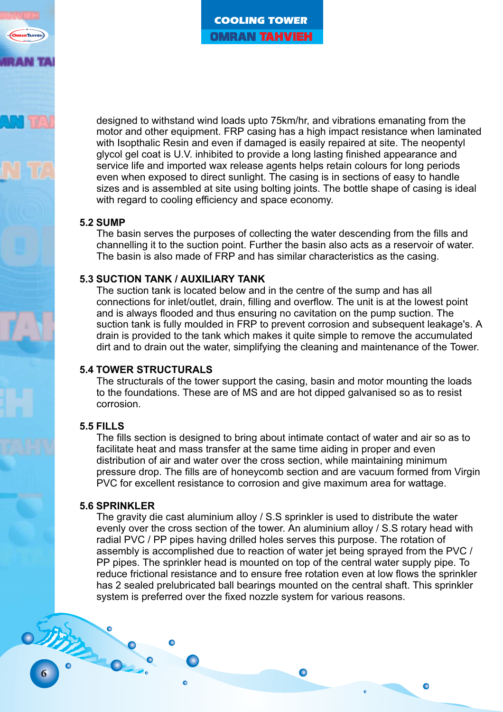designed to withstand wind loads upto 75km/hr, and vibrations emanating from the motor and other equipment. FRP casing has a high impact resistance when laminated with Isopthalic Resin and even if damaged is easily repaired at site. The neopentyl glycol gel coat is U.V. inhibited to provide a long lasting finished appearance and service life and imported wax release agents helps retain colours for long periods even when exposed to direct sunlight. The casing is in sections of easy to handle sizes and is assembled at site using bolting joints. The bottle shape of casing is ideal with regard to cooling efficiency and space economy.

#### **5.2 SUMP**

channelling it to the suction point. Further the basin also acts as a reservoir of water. The basin is also made of FRP and has similar characteristics as the casing. The basin serves the purposes of collecting the water descending from the fills and

# **5.3 SUCTION TANK / AUXILIARY TANK**

connections for inlet/outlet, drain, filling and overflow. The unit is at the lowest point and is always flooded and thus ensuring no cavitation on the pump suction. The suction tank is fully moulded in FRP to prevent corrosion and subsequent leakage's. A drain is provided to the tank which makes it quite simple to remove the accumulated dirt and to drain out the water, simplifying the cleaning and maintenance of the Tower. The suction tank is located below and in the centre of the sump and has all

# **5.4 TOWER STRUCTURALS**

to the foundations. These are of MS and are hot dipped galvanised so as to resist corrosion. The structurals of the tower support the casing, basin and motor mounting the loads

# **5.5 FILLS**

facilitate heat and mass transfer at the same time aiding in proper and even distribution of air and water over the cross section, while maintaining minimum pressure drop. The fills are of honeycomb section and are vacuum formed from Virgin PVC for excellent resistance to corrosion and give maximum area for wattage. The fills section is designed to bring about intimate contact of water and air so as to

#### **5.6 SPRINKLER**

evenly over the cross section of the tower. An aluminium alloy / S.S rotary head with radial PVC / PP pipes having drilled holes serves this purpose. The rotation of assembly is accomplished due to reaction of water jet being sprayed from the PVC / PP pipes. The sprinkler head is mounted on top of the central water supply pipe. To reduce frictional resistance and to ensure free rotation even at low flows the sprinkler has 2 sealed prelubricated ball bearings mounted on the central shaft. This sprinkler system is preferred over the fixed nozzle system for various reasons. The gravity die cast aluminium alloy / S.S sprinkler is used to distribute the water

 $\bullet$ 

6

OTHER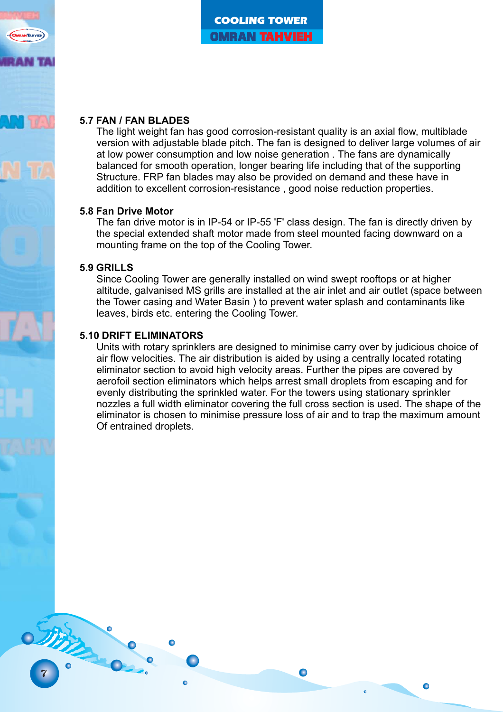# **5.7 FAN / FAN BLADES**

The light weight fan has good corrosion-resistant quality is an axial flow, multiblade version with adjustable blade pitch. The fan is designed to deliver large volumes of air at low power consumption and low noise generation . The fans are dynamically balanced for smooth operation, longer bearing life including that of the supporting Structure. FRP fan blades may also be provided on demand and these have in addition to excellent corrosion-resistance , good noise reduction properties.

#### **5.8 Fan Drive Motor**

The fan drive motor is in IP-54 or IP-55 'F' class design. The fan is directly driven by the special extended shaft motor made from steel mounted facing downward on a mounting frame on the top of the Cooling Tower.

# **5.9 GRILLS**

7

Since Cooling Tower are generally installed on wind swept rooftops or at higher altitude, galvanised MS grills are installed at the air inlet and air outlet (space between the Tower casing and Water Basin ) to prevent water splash and contaminants like leaves, birds etc. entering the Cooling Tower.

#### **5.10 DRIFT ELIMINATORS**

Units with rotary sprinklers are designed to minimise carry over by judicious choice of air flow velocities. The air distribution is aided by using a centrally located rotating eliminator section to avoid high velocity areas. Further the pipes are covered by aerofoil section eliminators which helps arrest small droplets from escaping and for evenly distributing the sprinkled water. For the towers using stationary sprinkler nozzles a full width eliminator covering the full cross section is used. The shape of the eliminator is chosen to minimise pressure loss of air and to trap the maximum amount Of entrained droplets.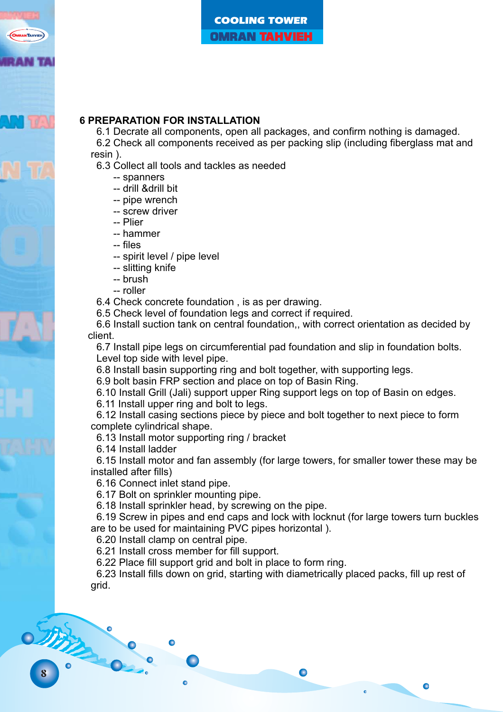# **6 PREPARATION FOR INSTALLATION**

6.1 Decrate all components, open all packages, and confirm nothing is damaged. 6.2 Check all components received as per packing slip (including fiberglass mat and

resin ).

6.3 Collect all tools and tackles as needed

-- spanners

- -- drill &drill bit
- -- pipe wrench
- -- screw driver

-- Plier

-- hammer

-- files

-- spirit level / pipe level

-- slitting knife

-- brush

-- roller

6.4 Check concrete foundation , is as per drawing.

6.5 Check level of foundation legs and correct if required.

6.6 Install suction tank on central foundation,, with correct orientation as decided by client.

6.7 Install pipe legs on circumferential pad foundation and slip in foundation bolts. Level top side with level pipe.

6.8 Install basin supporting ring and bolt together, with supporting legs.

6.9 bolt basin FRP section and place on top of Basin Ring.

6.10 Install Grill (Jali) support upper Ring support legs on top of Basin on edges.

6.11 Install upper ring and bolt to legs.

6.12 Install casing sections piece by piece and bolt together to next piece to form complete cylindrical shape.

6.13 Install motor supporting ring / bracket

6.14 Install ladder

6.15 Install motor and fan assembly (for large towers, for smaller tower these may be installed after fills)

6.16 Connect inlet stand pipe.

6.17 Bolt on sprinkler mounting pipe.

6.18 Install sprinkler head, by screwing on the pipe.

6.19 Screw in pipes and end caps and lock with locknut (for large towers turn buckles are to be used for maintaining PVC pipes horizontal ).

6.20 Install clamp on central pipe.

6.21 Install cross member for fill support.

6.22 Place fill support grid and bolt in place to form ring.

6.23 Install fills down on grid, starting with diametrically placed packs, fill up rest of grid.

 $\bullet$ 

STATES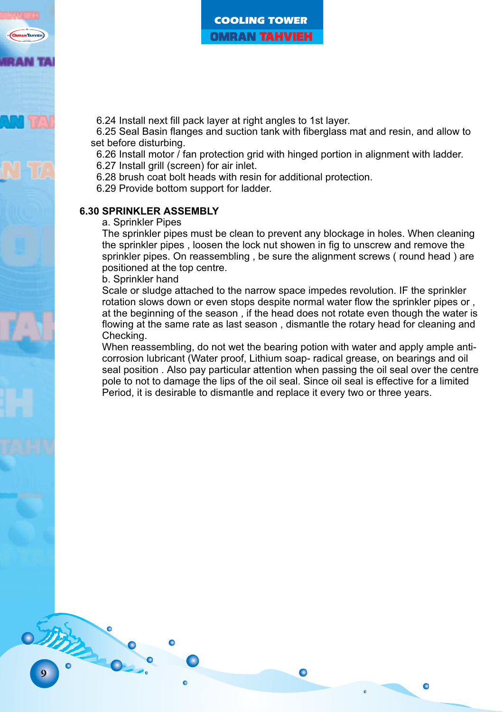6.24 Install next fill pack layer at right angles to 1st layer.

6.25 Seal Basin flanges and suction tank with fiberglass mat and resin, and allow to set before disturbing.

6.26 Install motor / fan protection grid with hinged portion in alignment with ladder.

6.27 Install grill (screen) for air inlet.

6.28 brush coat bolt heads with resin for additional protection.

6.29 Provide bottom support for ladder.

# **6.30 SPRINKLER ASSEMBLY**

#### a. Sprinkler Pipes

The sprinkler pipes must be clean to prevent any blockage in holes. When cleaning the sprinkler pipes , loosen the lock nut showen in fig to unscrew and remove the sprinkler pipes. On reassembling , be sure the alignment screws ( round head ) are positioned at the top centre.

b. Sprinkler hand

9

OTHER

Scale or sludge attached to the narrow space impedes revolution. IF the sprinkler rotation slows down or even stops despite normal water flow the sprinkler pipes or , at the beginning of the season , if the head does not rotate even though the water is flowing at the same rate as last season , dismantle the rotary head for cleaning and Checking.

When reassembling, do not wet the bearing potion with water and apply ample anticorrosion lubricant (Water proof, Lithium soap- radical grease, on bearings and oil seal position . Also pay particular attention when passing the oil seal over the centre pole to not to damage the lips of the oil seal. Since oil seal is effective for a limited Period, it is desirable to dismantle and replace it every two or three years.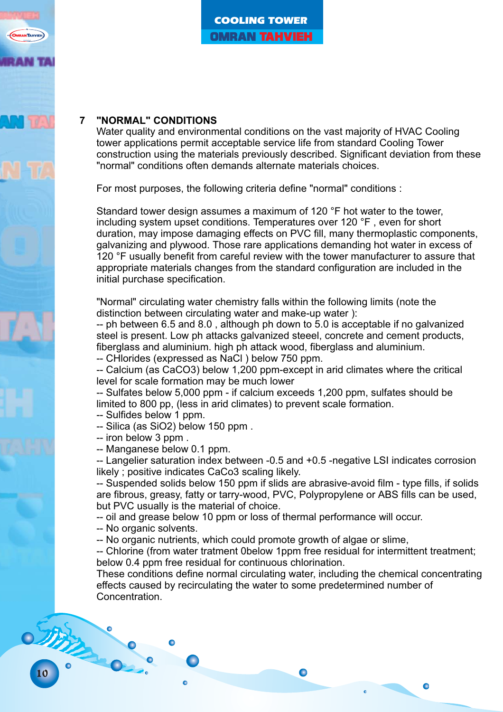# **7 "NORMAL" CONDITIONS**

Water quality and environmental conditions on the vast majority of HVAC Cooling tower applications permit acceptable service life from standard Cooling Tower construction using the materials previously described. Significant deviation from these "normal" conditions often demands alternate materials choices.

For most purposes, the following criteria define "normal" conditions :

Standard tower design assumes a maximum of 120 °F hot water to the tower. including system upset conditions. Temperatures over 120 °F , even for short duration, may impose damaging effects on PVC fill, many thermoplastic components, galvanizing and plywood. Those rare applications demanding hot water in excess of 120 °F usually benefit from careful review with the tower manufacturer to assure that appropriate materials changes from the standard configuration are included in the initial purchase specification.

"Normal" circulating water chemistry falls within the following limits (note the distinction between circulating water and make-up water ):

-- ph between 6.5 and 8.0 , although ph down to 5.0 is acceptable if no galvanized steel is present. Low ph attacks galvanized steeel, concrete and cement products, fiberglass and aluminium. high ph attack wood, fiberglass and aluminium.

-- CHlorides (expressed as NaCl ) below 750 ppm.

-- Calcium (as CaCO3) below 1,200 ppm-except in arid climates where the critical level for scale formation may be much lower

-- Sulfates below 5,000 ppm - if calcium exceeds 1,200 ppm, sulfates should be limited to 800 pp, (less in arid climates) to prevent scale formation.

- -- Sulfides below 1 ppm.
- -- Silica (as SiO2) below 150 ppm .
- -- iron below 3 ppm .
- -- Manganese below 0.1 ppm.

-- Langelier saturation index between -0.5 and +0.5 -negative LSI indicates corrosion likely ; positive indicates CaCo3 scaling likely.

-- Suspended solids below 150 ppm if slids are abrasive-avoid film - type fills, if solids are fibrous, greasy, fatty or tarry-wood, PVC, Polypropylene or ABS fills can be used, but PVC usually is the material of choice.

-- oil and grease below 10 ppm or loss of thermal performance will occur.

-- No organic solvents.

-- No organic nutrients, which could promote growth of algae or slime,

-- Chlorine (from water tratment 0below 1ppm free residual for intermittent treatment; below 0.4 ppm free residual for continuous chlorination.

These conditions define normal circulating water, including the chemical concentrating effects caused by recirculating the water to some predetermined number of Concentration.

 $\bullet$ 



STAR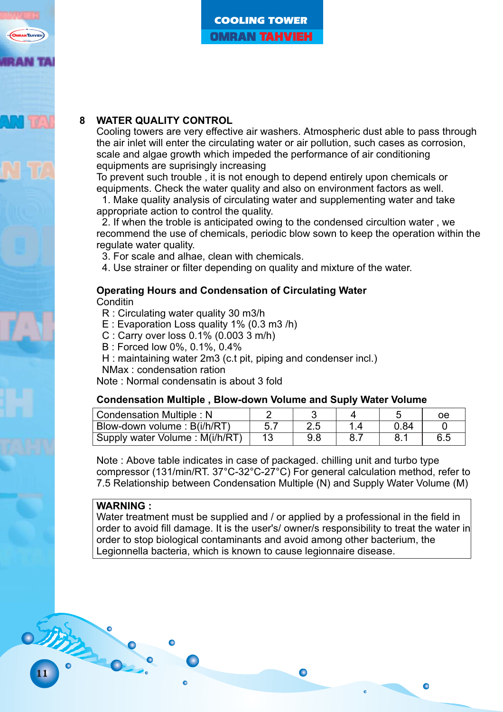

# **8 WATER QUALITY CONTROL**

Cooling towers are very effective air washers. Atmospheric dust able to pass through the air inlet will enter the circulating water or air pollution, such cases as corrosion, scale and algae growth which impeded the performance of air conditioning equipments are suprisingly increasing

To prevent such trouble , it is not enough to depend entirely upon chemicals or equipments. Check the water quality and also on environment factors as well.

1. Make quality analysis of circulating water and supplementing water and take appropriate action to control the quality.

2. If when the troble is anticipated owing to the condensed circultion water , we recommend the use of chemicals, periodic blow sown to keep the operation within the regulate water quality.

3. For scale and alhae, clean with chemicals.

4. Use strainer or filter depending on quality and mixture of the water.

# **Operating Hours and Condensation of Circulating Water**

**Conditin** 

- R : Circulating water quality 30 m3/h
- E : Evaporation Loss quality 1% (0.3 m3 /h)
- C : Carry over loss 0.1% (0.003 3 m/h)
- B : Forced low 0%, 0.1%, 0.4%
- H : maintaining water 2m3 (c.t pit, piping and condenser incl.)
- NMax : condensation ration

Note : Normal condensatin is about 3 fold

#### **Condensation Multiple , Blow-down Volume and Suply Water Volume**

| Condensation Multiple: N       |  |  | oe  |
|--------------------------------|--|--|-----|
| Blow-down volume : B(i/h/RT)   |  |  |     |
| Supply water Volume: M(i/h/RT) |  |  | 6.5 |

Note : Above table indicates in case of packaged. chilling unit and turbo type compressor (131/min/RT. 37°C-32°C-27°C) For general calculation method, refer to 7.5 Relationship between Condensation Multiple (N) and Supply Water Volume (M)

#### **WARNING :**

11

STAR

Water treatment must be supplied and / or applied by a professional in the field in order to avoid fill damage. It is the user's/ owner/s responsibility to treat the water in order to stop biological contaminants and avoid among other bacterium, the Legionnella bacteria, which is known to cause legionnaire disease.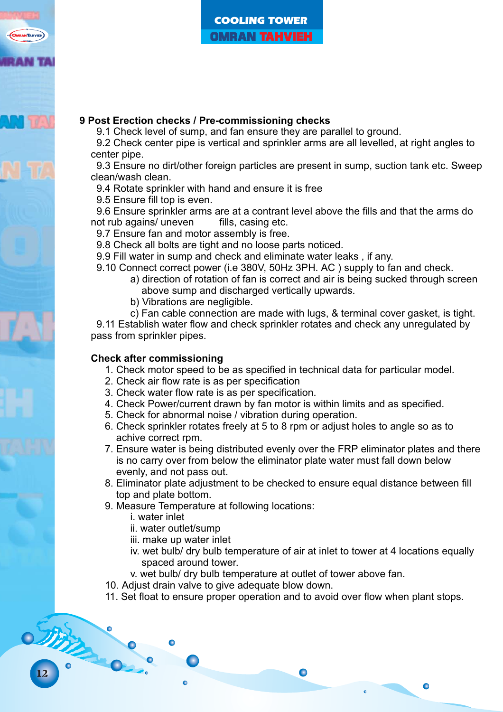# **9 Post Erection checks / Pre-commissioning checks**

9.1 Check level of sump, and fan ensure they are parallel to ground.

9.2 Check center pipe is vertical and sprinkler arms are all levelled, at right angles to center pipe.

9.3 Ensure no dirt/other foreign particles are present in sump, suction tank etc. Sweep clean/wash clean.

9.4 Rotate sprinkler with hand and ensure it is free

9.5 Ensure fill top is even.

9.6 Ensure sprinkler arms are at a contrant level above the fills and that the arms do not rub agains/ uneven fills. casing etc. not rub agains/ uneven

9.7 Ensure fan and motor assembly is free.

9.8 Check all bolts are tight and no loose parts noticed.

9.9 Fill water in sump and check and eliminate water leaks , if any.

9.10 Connect correct power (i.e 380V, 50Hz 3PH. AC ) supply to fan and check.

- a) direction of rotation of fan is correct and air is being sucked through screen above sump and discharged vertically upwards.
- b) Vibrations are negligible.

c) Fan cable connection are made with lugs, & terminal cover gasket, is tight. 9.11 Establish water flow and check sprinkler rotates and check any unregulated by pass from sprinkler pipes.

# **Check after commissioning**

- 1. Check motor speed to be as specified in technical data for particular model.
- 2. Check air flow rate is as per specification
- 3. Check water flow rate is as per specification.
- 4. Check Power/current drawn by fan motor is within limits and as specified.
- 5. Check for abnormal noise / vibration during operation.
- 6. Check sprinkler rotates freely at 5 to 8 rpm or adjust holes to angle so as to achive correct rpm.
- 7. Ensure water is being distributed evenly over the FRP eliminator plates and there is no carry over from below the eliminator plate water must fall down below evenly, and not pass out.
- 8. Eliminator plate adjustment to be checked to ensure equal distance between fill top and plate bottom.
- 9. Measure Temperature at following locations:
	- i. water inlet
	- ii. water outlet/sump
	- iii. make up water inlet
	- iv. wet bulb/ dry bulb temperature of air at inlet to tower at 4 locations equally spaced around tower.

 $\bullet$ 

- v. wet bulb/ dry bulb temperature at outlet of tower above fan.
- 10. Adjust drain valve to give adequate blow down.
- 11. Set float to ensure proper operation and to avoid over flow when plant stops.

OTHER !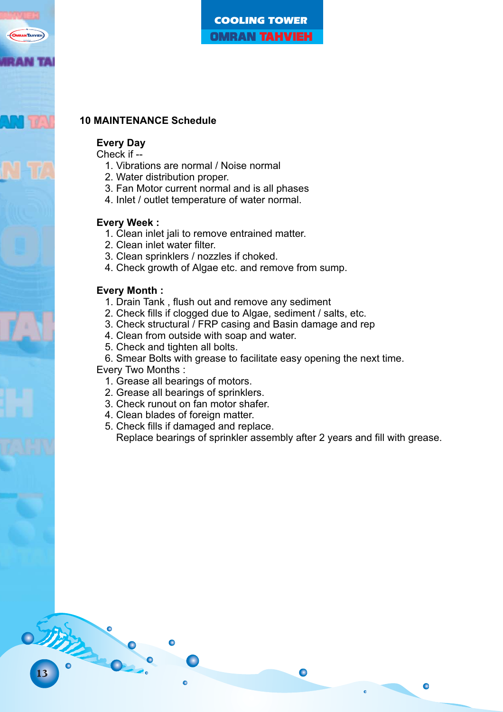

# **10 MAINTENANCE Schedule**

#### **Every Day**

Check if --

- 1. Vibrations are normal / Noise normal
- 2. Water distribution proper.
- 3. Fan Motor current normal and is all phases
- 4. Inlet / outlet temperature of water normal.

#### **Every Week :**

- 1. Clean inlet jali to remove entrained matter.
- 2. Clean inlet water filter.
- 3. Clean sprinklers / nozzles if choked.
- 4. Check growth of Algae etc. and remove from sump.

#### **Every Month :**

- 1. Drain Tank , flush out and remove any sediment
- 2. Check fills if clogged due to Algae, sediment / salts, etc.
- 3. Check structural / FRP casing and Basin damage and rep
- 4. Clean from outside with soap and water.
- 5. Check and tighten all bolts.
- 6. Smear Bolts with grease to facilitate easy opening the next time.

Every Two Months :

13

OTHER !

- 1. Grease all bearings of motors.
- 2. Grease all bearings of sprinklers.
- 3. Check runout on fan motor shafer.
- 4. Clean blades of foreign matter.
- 5. Check fills if damaged and replace. Replace bearings of sprinkler assembly after 2 years and fill with grease.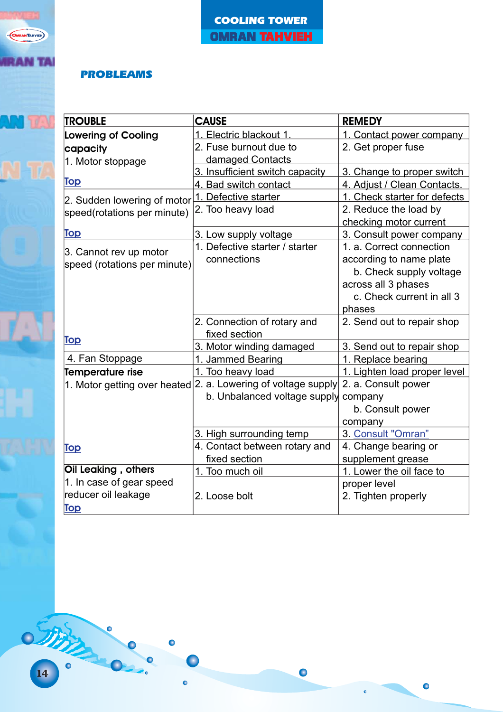

# PROBLEAMS

| <b>TROUBLE</b>               | <b>CAUSE</b>                                                  | <b>REMEDY</b>                |  |  |  |  |  |  |
|------------------------------|---------------------------------------------------------------|------------------------------|--|--|--|--|--|--|
| <b>Lowering of Cooling</b>   | 1. Electric blackout 1.                                       | 1. Contact power company     |  |  |  |  |  |  |
| capacity                     | 2. Fuse burnout due to                                        | 2. Get proper fuse           |  |  |  |  |  |  |
| 1. Motor stoppage            | damaged Contacts                                              |                              |  |  |  |  |  |  |
|                              | 3. Insufficient switch capacity                               | 3. Change to proper switch   |  |  |  |  |  |  |
| <b>Top</b>                   | 4. Bad switch contact                                         | 4. Adjust / Clean Contacts.  |  |  |  |  |  |  |
| 2. Sudden lowering of motor  | 1. Defective starter                                          | 1. Check starter for defects |  |  |  |  |  |  |
| speed(rotations per minute)  | 2. Too heavy load                                             | 2. Reduce the load by        |  |  |  |  |  |  |
|                              |                                                               | checking motor current       |  |  |  |  |  |  |
| <u>Top</u>                   | 3. Low supply voltage                                         | 3. Consult power company     |  |  |  |  |  |  |
| 3. Cannot rev up motor       | 1. Defective starter / starter                                | 1. a. Correct connection     |  |  |  |  |  |  |
| speed (rotations per minute) | connections                                                   | according to name plate      |  |  |  |  |  |  |
|                              |                                                               | b. Check supply voltage      |  |  |  |  |  |  |
|                              |                                                               | across all 3 phases          |  |  |  |  |  |  |
|                              |                                                               | c. Check current in all 3    |  |  |  |  |  |  |
|                              |                                                               | phases                       |  |  |  |  |  |  |
|                              | 2. Connection of rotary and                                   | 2. Send out to repair shop   |  |  |  |  |  |  |
| Top                          | fixed section                                                 |                              |  |  |  |  |  |  |
|                              | 3. Motor winding damaged                                      | 3. Send out to repair shop   |  |  |  |  |  |  |
| 4. Fan Stoppage              | 1. Jammed Bearing                                             | 1. Replace bearing           |  |  |  |  |  |  |
| <b>Temperature rise</b>      | 1. Too heavy load                                             | 1. Lighten load proper level |  |  |  |  |  |  |
|                              | 1. Motor getting over heated 2. a. Lowering of voltage supply | 2. a. Consult power          |  |  |  |  |  |  |
|                              | b. Unbalanced voltage supply                                  | company                      |  |  |  |  |  |  |
|                              |                                                               | b. Consult power             |  |  |  |  |  |  |
|                              |                                                               | company                      |  |  |  |  |  |  |
|                              | 3. High surrounding temp                                      | 3. Consult "Omran"           |  |  |  |  |  |  |
| <u>Top</u>                   | 4. Contact between rotary and                                 | 4. Change bearing or         |  |  |  |  |  |  |
|                              | fixed section                                                 | supplement grease            |  |  |  |  |  |  |
| Oil Leaking, others          | 1. Too much oil                                               | 1. Lower the oil face to     |  |  |  |  |  |  |
| 1. In case of gear speed     |                                                               | proper level                 |  |  |  |  |  |  |
| reducer oil leakage          | 2. Loose bolt                                                 | 2. Tighten properly          |  |  |  |  |  |  |
| Top                          |                                                               |                              |  |  |  |  |  |  |

 $\bullet$ 

 $\bullet$ 

 $\ddot{\bullet}$ 

0777

 $\bullet$ 

 $\Box$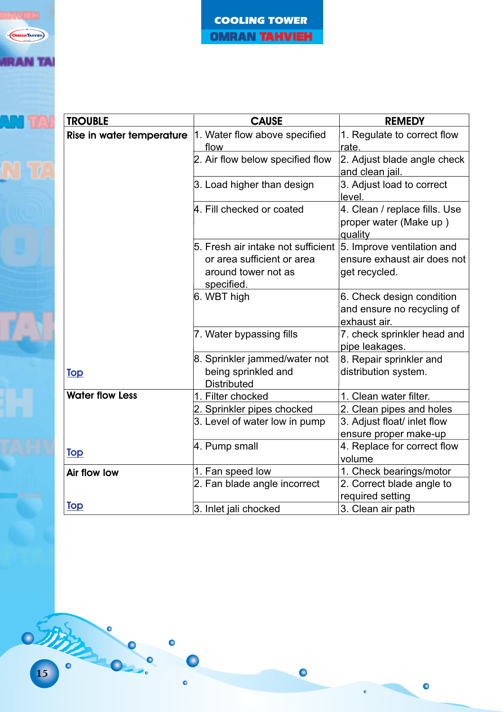| <b>TROUBLE</b>            | <b>CAUSE</b>                                                                                          | <b>REMEDY</b>                                                              |  |  |  |  |  |  |
|---------------------------|-------------------------------------------------------------------------------------------------------|----------------------------------------------------------------------------|--|--|--|--|--|--|
| Rise in water temperature | 1. Water flow above specified<br>flow                                                                 | 1. Regulate to correct flow<br>rate.                                       |  |  |  |  |  |  |
|                           | 2. Air flow below specified flow                                                                      | 2. Adjust blade angle check<br>and clean jail.                             |  |  |  |  |  |  |
|                           | 3. Load higher than design                                                                            | 3. Adjust load to correct<br>level.                                        |  |  |  |  |  |  |
|                           | 4. Fill checked or coated                                                                             | 4. Clean / replace fills. Use<br>proper water (Make up)<br>quality         |  |  |  |  |  |  |
|                           | 5. Fresh air intake not sufficient<br>or area sufficient or area<br>around tower not as<br>specified. | 5. Improve ventilation and<br>ensure exhaust air does not<br>get recycled. |  |  |  |  |  |  |
|                           | 6. WBT high                                                                                           | 6. Check design condition<br>and ensure no recycling of<br>exhaust air.    |  |  |  |  |  |  |
|                           | 7. Water bypassing fills                                                                              | 7. check sprinkler head and<br>pipe leakages.                              |  |  |  |  |  |  |
| <u>Top</u>                | 8. Sprinkler jammed/water not<br>being sprinkled and<br><b>Distributed</b>                            | 8. Repair sprinkler and<br>distribution system.                            |  |  |  |  |  |  |
| <b>Water flow Less</b>    | 1. Filter chocked                                                                                     | 1. Clean water filter.                                                     |  |  |  |  |  |  |
|                           | 2. Sprinkler pipes chocked                                                                            | 2. Clean pipes and holes                                                   |  |  |  |  |  |  |
|                           | 3. Level of water low in pump                                                                         | 3. Adjust float/ inlet flow<br>ensure proper make-up                       |  |  |  |  |  |  |
| Top                       | 4. Pump small                                                                                         | 4. Replace for correct flow<br>volume                                      |  |  |  |  |  |  |
| Air flow low              | 1. Fan speed low                                                                                      | 1. Check bearings/motor                                                    |  |  |  |  |  |  |
|                           | 2. Fan blade angle incorrect                                                                          | 2. Correct blade angle to<br>required setting                              |  |  |  |  |  |  |
| <b>Top</b>                | 3. Inlet jali chocked                                                                                 | 3. Clean air path                                                          |  |  |  |  |  |  |

 $\bullet$ 

 $\bullet$ 

 $\ddot{\bullet}$ 

0733

 $\bullet$ 

 $\Box$ 

 $\bullet$ 

**OMRANTAHVIEH** 

**IRAN TAI** 

**ANTI**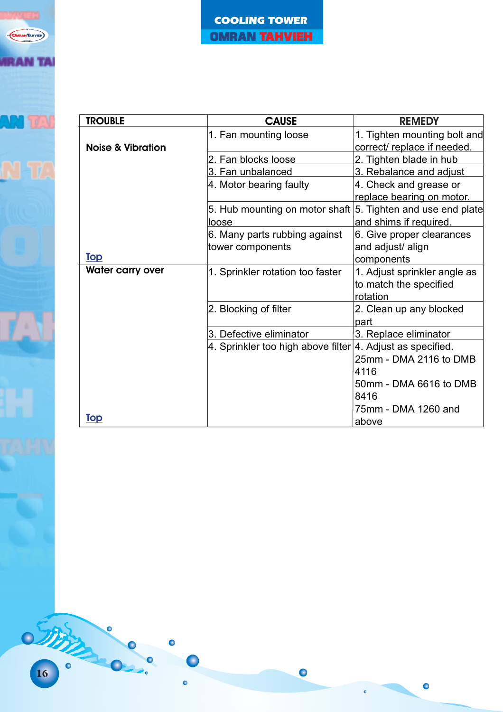

| <b>TROUBLE</b>               | <b>CAUSE</b>                       | <b>REMEDY</b>                                               |  |  |  |  |  |  |
|------------------------------|------------------------------------|-------------------------------------------------------------|--|--|--|--|--|--|
| <b>Noise &amp; Vibration</b> | 1. Fan mounting loose              | 1. Tighten mounting bolt and<br>correct/ replace if needed. |  |  |  |  |  |  |
|                              | 2. Fan blocks loose                | 2. Tighten blade in hub                                     |  |  |  |  |  |  |
|                              | 3. Fan unbalanced                  | 3. Rebalance and adjust                                     |  |  |  |  |  |  |
|                              | 4. Motor bearing faulty            | 4. Check and grease or                                      |  |  |  |  |  |  |
|                              |                                    | replace bearing on motor.                                   |  |  |  |  |  |  |
|                              | 5. Hub mounting on motor shaft     | 5. Tighten and use end plate                                |  |  |  |  |  |  |
|                              | loose                              | and shims if required.                                      |  |  |  |  |  |  |
|                              | 6. Many parts rubbing against      | 6. Give proper clearances                                   |  |  |  |  |  |  |
|                              | tower components                   | and adjust/ align                                           |  |  |  |  |  |  |
| <u>Top</u>                   |                                    | components                                                  |  |  |  |  |  |  |
| <b>Water carry over</b>      | 1. Sprinkler rotation too faster   | 1. Adjust sprinkler angle as                                |  |  |  |  |  |  |
|                              |                                    | to match the specified<br>rotation                          |  |  |  |  |  |  |
|                              | 2. Blocking of filter              | 2. Clean up any blocked                                     |  |  |  |  |  |  |
|                              |                                    | part                                                        |  |  |  |  |  |  |
|                              | 3. Defective eliminator            | 3. Replace eliminator                                       |  |  |  |  |  |  |
|                              | 4. Sprinkler too high above filter | 4. Adjust as specified.                                     |  |  |  |  |  |  |
|                              |                                    | 25mm - DMA 2116 to DMB                                      |  |  |  |  |  |  |
|                              |                                    | 4116                                                        |  |  |  |  |  |  |
|                              |                                    | 50mm - DMA 6616 to DMB                                      |  |  |  |  |  |  |
|                              |                                    | 8416                                                        |  |  |  |  |  |  |
|                              |                                    | 75mm - DMA 1260 and                                         |  |  |  |  |  |  |
| <u>Top</u>                   |                                    | above                                                       |  |  |  |  |  |  |

 $\bullet$ 

 $\bullet$ 

 $\ddot{\bullet}$ 

 $\bullet$ 

 $\blacksquare$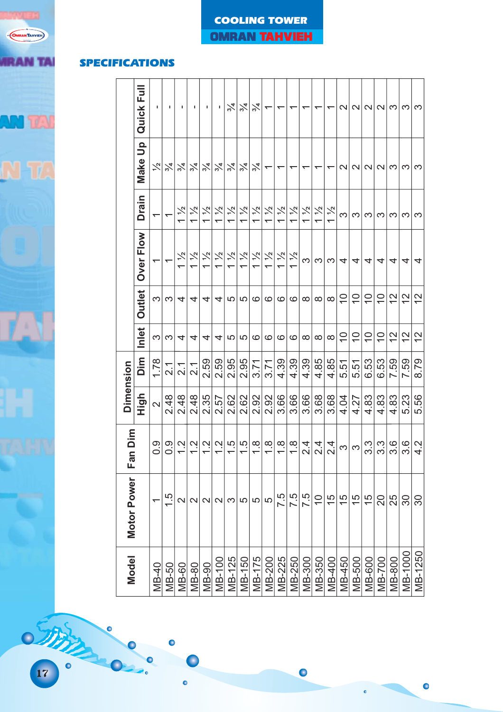

| <b>SPECIFICATIONS</b> |                  |                |                   |                          |                                 |                    |                    |                                           |                    |                    |                    |                    |                          |                    |                    |                 |                    |                           |                           |                           |                           |               |               |               |
|-----------------------|------------------|----------------|-------------------|--------------------------|---------------------------------|--------------------|--------------------|-------------------------------------------|--------------------|--------------------|--------------------|--------------------|--------------------------|--------------------|--------------------|-----------------|--------------------|---------------------------|---------------------------|---------------------------|---------------------------|---------------|---------------|---------------|
|                       |                  | Full<br>Quick  |                   |                          |                                 |                    |                    |                                           | $\frac{5}{4}$      | $\frac{9}{4}$      | $\frac{5}{4}$      | ᅮ                  | ᠇                        | ᠇                  | ᠇                  | ᠇               | ᡪ                  | $\sim$                    | $\mathbf{\sim}$           | $\mathbf{\Omega}$         | $\mathbf{\Omega}$         | က             | က             | က             |
|                       |                  | ء<br>5<br>Make | $\frac{1}{2}$     | $\frac{2}{4}$            | $\frac{5}{4}$                   | $\frac{5}{4}$      | $\frac{5}{4}$      | $\frac{5}{4}$                             | $\frac{9}{4}$      | $\frac{9}{4}$      | $\frac{1}{2}$      | ↽                  | $\overline{\phantom{0}}$ | ᠇                  | ᠇                  | ᠇               | ٢                  | $\sim$                    | $\mathbf{\Omega}$         | $\mathbf{\Omega}$         | $\mathbf{\Omega}$         | က             | က             | က             |
|                       |                  | <b>Drain</b>   |                   | ᡪ                        | $\frac{1}{2}$<br>$\overline{ }$ | $\frac{1}{2}$      | $\frac{1}{2}$      | $\frac{1}{2}$<br>$\overline{\phantom{0}}$ | $\frac{1}{2}$<br>ᡪ | $\frac{1}{2}$<br>᠇ | $\frac{1}{2}$<br>ᡪ | $\frac{1}{2}$<br>ᡪ | $\frac{1}{2}$<br>᠇       | $\frac{1}{2}$<br>ᡪ | $\frac{1}{2}$<br>ᡪ | $\frac{1}{2}$   | $\frac{1}{2}$<br>ᡪ | S                         | က                         | က                         | က                         | က             | က             | S             |
|                       |                  | Over Flow      |                   | $\overline{\phantom{0}}$ | $\frac{1}{2}$<br>ᡪ              | $\frac{1}{2}$<br>ᡪ | $\frac{1}{2}$<br>ᡪ | $\frac{1}{2}$<br>ᡪ                        | $\frac{1}{2}$<br>ᡪ | $\frac{1}{2}$<br>᠇ | $\frac{1}{2}$<br>ᡪ | $\frac{1}{2}$<br>ᡪ | $\frac{1}{2}$<br>᠆       | $\frac{1}{2}$<br>ᡪ | က                  | S               | က                  | 4                         | 4                         | 4                         | 4                         | 4             | 4             | 4             |
|                       |                  | Outlet         | က                 | က                        | 4                               | 4                  | 4                  | 4                                         | 5                  | 5                  | $\mathbf{\circ}$   | $\circ$            | $\circ$                  | $\mathbf{\circ}$   | $\infty$           | $\infty$        | $\infty$           | $\widetilde{\phantom{a}}$ | $\widetilde{\phantom{a}}$ | $\widetilde{\phantom{a}}$ | $\widetilde{\phantom{a}}$ | 27            | $\frac{2}{3}$ | $\frac{2}{3}$ |
|                       |                  | Inlet          | S                 | က                        | 4                               | 4                  | 4                  | 4                                         | 5                  | 5                  | $\circ$            | $\circ$            | $\circ$                  | $\circ$            | $\infty$           | $\infty$        | $\infty$           | $\widetilde{\phantom{a}}$ | $\widetilde{\phantom{a}}$ | $\widetilde{\phantom{a}}$ | $\widetilde{\phantom{a}}$ | $\frac{2}{3}$ | $\frac{2}{3}$ | $\frac{2}{3}$ |
|                       |                  | Dim            | 1.78              | $\frac{1}{2}$            | $\overline{2.1}$                | $\overline{2.1}$   | 2.59               | 2.59                                      | 2.95               | 2.95               | 3.71               | 3.71               | 4.39                     | 4.39               | 4.39               | 4.85            | 4.85               | 5.51                      | 5.51                      | 6.53                      | 6.53                      | 7.59          | 7.59          | 8.79          |
|                       | <b>Dimension</b> | High           | $\mathbf{\Omega}$ | 2.48                     | 2.48                            | 2.48               | 2.35               | 2.57                                      | 2.62               | 2.62               | 2.92               | 2.92               | 3.66                     | 3.66               | 3.66               | 3.68            | 3.68               | 4.04                      | 4.27                      | 4.83                      | 4.83                      | 4.83          | 5.23          | 5.56          |
|                       | ε<br>Fan Di      |                | $0.\overline{0}$  | ၀<br>ဝ                   | ب<br>2                          | $\frac{2}{1}$      | $\frac{1}{2}$      | $\frac{2}{1}$                             | c.                 | <u>ي ا</u><br>ᡪ    | $\frac{8}{1}$      | $\frac{8}{1}$      | $\frac{8}{1}$            | $\frac{8}{1}$      | 2.4                | $2\overline{4}$ | 2.4                | S                         | S                         | 3.3                       | 3.3                       | 3.6           | 3.6           | 4.2           |
|                       | Motor Power      |                | ᡪ                 | $\frac{5}{1}$            | $\overline{\mathsf{C}}$         | $\mathbf{\Omega}$  | $\mathbf{\Omega}$  | $\mathbf{\Omega}$                         | က                  | ပ                  | 5                  | 5                  | 7.5                      | 7.5                | 7.5                | $\overline{0}$  | 15                 | 15                        | 15                        | $\frac{5}{3}$             | $\overline{0}$            | 25            | $\infty$      | 30            |
|                       | <b>Model</b>     |                | <b>MB-40</b>      | $MB-50$                  | <b>MB-60</b>                    | <b>MB-80</b>       | <b>MB-90</b>       | <b>MB-100</b>                             | MB-125             | <b>MB-150</b>      | MB-175             | <b>MB-200</b>      | <b>MB-225</b>            | MB-250             | <b>MB-300</b>      | <b>MB-350</b>   | <b>MB-400</b>      | <b>MB-450</b>             | <b>MB-500</b>             | <b>MB-600</b>             | <b>MB-700</b>             | <b>MB-800</b> | MB-1000       | MB-1250       |

 $\bullet$ 

 $\bullet$ 

 $\ddot{\bullet}$ 

# COOLING TOWER

**OMRAN TAHVIEH** 

 $\bullet$ 

 $\Box$